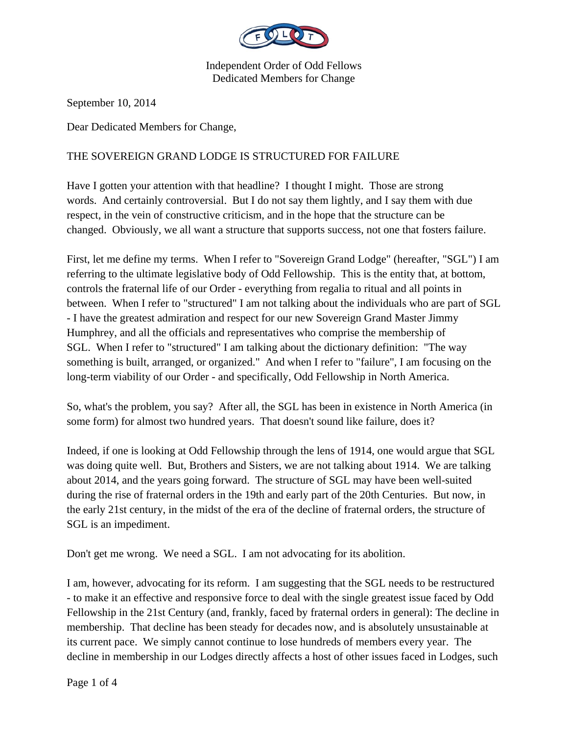

September 10, 2014

Dear Dedicated Members for Change,

## THE SOVEREIGN GRAND LODGE IS STRUCTURED FOR FAILURE

Have I gotten your attention with that headline? I thought I might. Those are strong words. And certainly controversial. But I do not say them lightly, and I say them with due respect, in the vein of constructive criticism, and in the hope that the structure can be changed. Obviously, we all want a structure that supports success, not one that fosters failure.

First, let me define my terms. When I refer to "Sovereign Grand Lodge" (hereafter, "SGL") I am referring to the ultimate legislative body of Odd Fellowship. This is the entity that, at bottom, controls the fraternal life of our Order - everything from regalia to ritual and all points in between. When I refer to "structured" I am not talking about the individuals who are part of SGL - I have the greatest admiration and respect for our new Sovereign Grand Master Jimmy Humphrey, and all the officials and representatives who comprise the membership of SGL. When I refer to "structured" I am talking about the dictionary definition: "The way something is built, arranged, or organized." And when I refer to "failure", I am focusing on the long-term viability of our Order - and specifically, Odd Fellowship in North America.

So, what's the problem, you say? After all, the SGL has been in existence in North America (in some form) for almost two hundred years. That doesn't sound like failure, does it?

Indeed, if one is looking at Odd Fellowship through the lens of 1914, one would argue that SGL was doing quite well. But, Brothers and Sisters, we are not talking about 1914. We are talking about 2014, and the years going forward. The structure of SGL may have been well-suited during the rise of fraternal orders in the 19th and early part of the 20th Centuries. But now, in the early 21st century, in the midst of the era of the decline of fraternal orders, the structure of SGL is an impediment.

Don't get me wrong. We need a SGL. I am not advocating for its abolition.

I am, however, advocating for its reform. I am suggesting that the SGL needs to be restructured - to make it an effective and responsive force to deal with the single greatest issue faced by Odd Fellowship in the 21st Century (and, frankly, faced by fraternal orders in general): The decline in membership. That decline has been steady for decades now, and is absolutely unsustainable at its current pace. We simply cannot continue to lose hundreds of members every year. The decline in membership in our Lodges directly affects a host of other issues faced in Lodges, such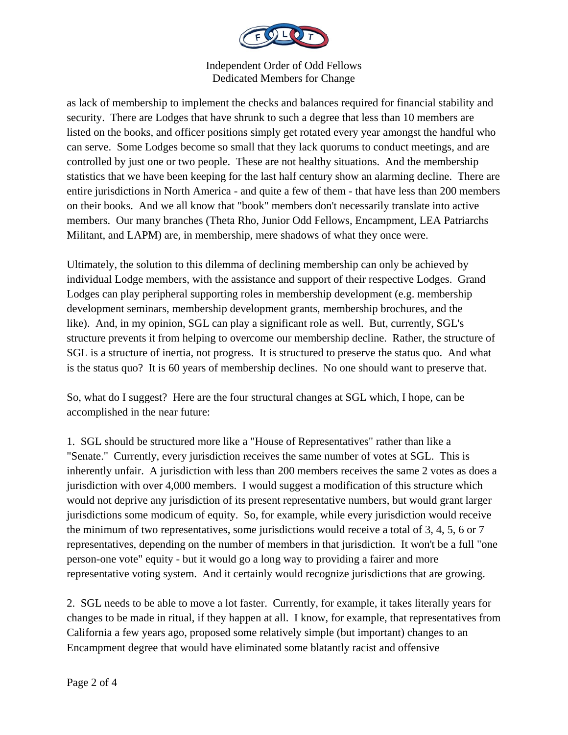

as lack of membership to implement the checks and balances required for financial stability and security. There are Lodges that have shrunk to such a degree that less than 10 members are listed on the books, and officer positions simply get rotated every year amongst the handful who can serve. Some Lodges become so small that they lack quorums to conduct meetings, and are controlled by just one or two people. These are not healthy situations. And the membership statistics that we have been keeping for the last half century show an alarming decline. There are entire jurisdictions in North America - and quite a few of them - that have less than 200 members on their books. And we all know that "book" members don't necessarily translate into active members. Our many branches (Theta Rho, Junior Odd Fellows, Encampment, LEA Patriarchs Militant, and LAPM) are, in membership, mere shadows of what they once were.

Ultimately, the solution to this dilemma of declining membership can only be achieved by individual Lodge members, with the assistance and support of their respective Lodges. Grand Lodges can play peripheral supporting roles in membership development (e.g. membership development seminars, membership development grants, membership brochures, and the like). And, in my opinion, SGL can play a significant role as well. But, currently, SGL's structure prevents it from helping to overcome our membership decline. Rather, the structure of SGL is a structure of inertia, not progress. It is structured to preserve the status quo. And what is the status quo? It is 60 years of membership declines. No one should want to preserve that.

So, what do I suggest? Here are the four structural changes at SGL which, I hope, can be accomplished in the near future:

1. SGL should be structured more like a "House of Representatives" rather than like a "Senate." Currently, every jurisdiction receives the same number of votes at SGL. This is inherently unfair. A jurisdiction with less than 200 members receives the same 2 votes as does a jurisdiction with over 4,000 members. I would suggest a modification of this structure which would not deprive any jurisdiction of its present representative numbers, but would grant larger jurisdictions some modicum of equity. So, for example, while every jurisdiction would receive the minimum of two representatives, some jurisdictions would receive a total of 3, 4, 5, 6 or 7 representatives, depending on the number of members in that jurisdiction. It won't be a full "one person-one vote" equity - but it would go a long way to providing a fairer and more representative voting system. And it certainly would recognize jurisdictions that are growing.

2. SGL needs to be able to move a lot faster. Currently, for example, it takes literally years for changes to be made in ritual, if they happen at all. I know, for example, that representatives from California a few years ago, proposed some relatively simple (but important) changes to an Encampment degree that would have eliminated some blatantly racist and offensive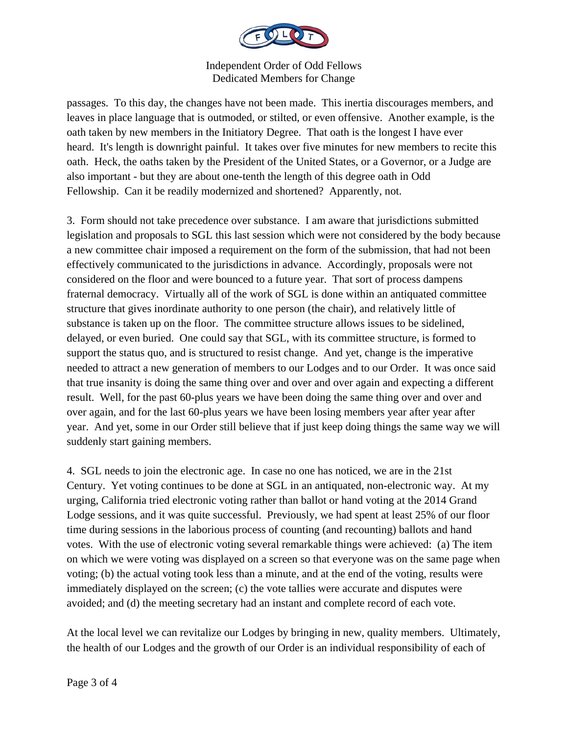

passages. To this day, the changes have not been made. This inertia discourages members, and leaves in place language that is outmoded, or stilted, or even offensive. Another example, is the oath taken by new members in the Initiatory Degree. That oath is the longest I have ever heard. It's length is downright painful. It takes over five minutes for new members to recite this oath. Heck, the oaths taken by the President of the United States, or a Governor, or a Judge are also important - but they are about one-tenth the length of this degree oath in Odd Fellowship. Can it be readily modernized and shortened? Apparently, not.

3. Form should not take precedence over substance. I am aware that jurisdictions submitted legislation and proposals to SGL this last session which were not considered by the body because a new committee chair imposed a requirement on the form of the submission, that had not been effectively communicated to the jurisdictions in advance. Accordingly, proposals were not considered on the floor and were bounced to a future year. That sort of process dampens fraternal democracy. Virtually all of the work of SGL is done within an antiquated committee structure that gives inordinate authority to one person (the chair), and relatively little of substance is taken up on the floor. The committee structure allows issues to be sidelined, delayed, or even buried. One could say that SGL, with its committee structure, is formed to support the status quo, and is structured to resist change. And yet, change is the imperative needed to attract a new generation of members to our Lodges and to our Order. It was once said that true insanity is doing the same thing over and over and over again and expecting a different result. Well, for the past 60-plus years we have been doing the same thing over and over and over again, and for the last 60-plus years we have been losing members year after year after year. And yet, some in our Order still believe that if just keep doing things the same way we will suddenly start gaining members.

4. SGL needs to join the electronic age. In case no one has noticed, we are in the 21st Century. Yet voting continues to be done at SGL in an antiquated, non-electronic way. At my urging, California tried electronic voting rather than ballot or hand voting at the 2014 Grand Lodge sessions, and it was quite successful. Previously, we had spent at least 25% of our floor time during sessions in the laborious process of counting (and recounting) ballots and hand votes. With the use of electronic voting several remarkable things were achieved: (a) The item on which we were voting was displayed on a screen so that everyone was on the same page when voting; (b) the actual voting took less than a minute, and at the end of the voting, results were immediately displayed on the screen; (c) the vote tallies were accurate and disputes were avoided; and (d) the meeting secretary had an instant and complete record of each vote.

At the local level we can revitalize our Lodges by bringing in new, quality members. Ultimately, the health of our Lodges and the growth of our Order is an individual responsibility of each of